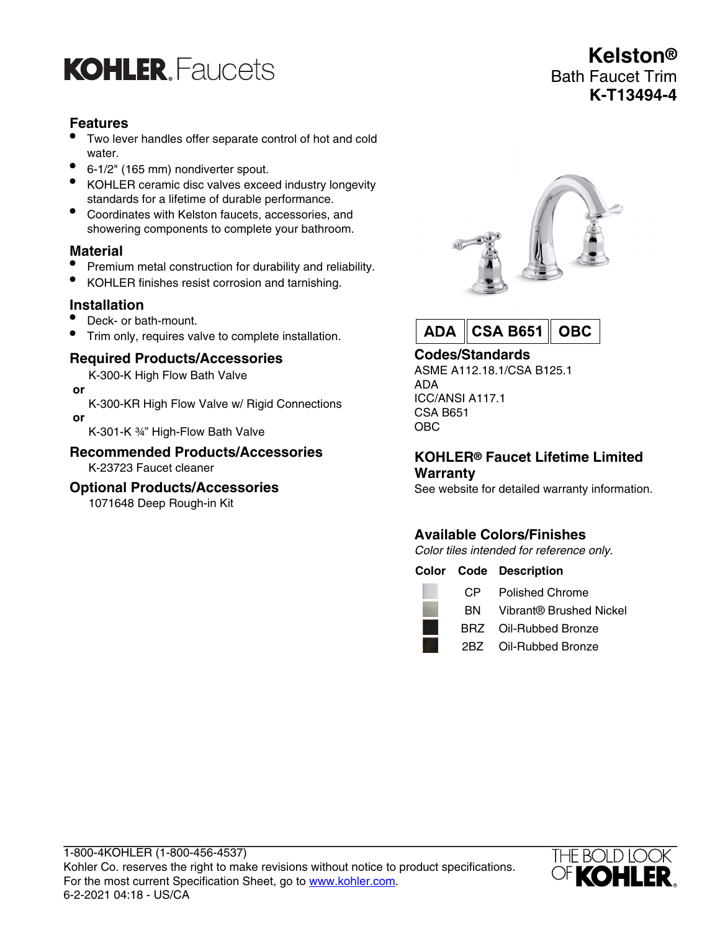## **KOHLER, Faucets**

## **Features**

- Two lever handles offer separate control of hot and cold water.
- 6-1/2" (165 mm) nondiverter spout.
- KOHLER ceramic disc valves exceed industry longevity standards for a lifetime of durable performance.
- Coordinates with Kelston faucets, accessories, and showering components to complete your bathroom.

#### **Material**

- Premium metal construction for durability and reliability.
- KOHLER finishes resist corrosion and tarnishing.

## **Installation**

- Deck- or bath-mount.
- Trim only, requires valve to complete installation.

## **Required Products/Accessories**

K-300-K High Flow Bath Valve

- **or**
- K-300-KR High Flow Valve w/ Rigid Connections  **or**

K-301-K ¾" High-Flow Bath Valve

## **Recommended Products/Accessories**

K-23723 Faucet cleaner

#### **Optional Products/Accessories**

1071648 Deep Rough-in Kit





#### **Codes/Standards**

ASME A112.18.1/CSA B125.1 ADA ICC/ANSI A117.1 CSA B651 OBC

#### **KOHLER® Faucet Lifetime Limited Warranty**

See website for detailed warranty information.

## **Available Colors/Finishes**

Color tiles intended for reference only.

|      | <b>Color Code Description</b>     |
|------|-----------------------------------|
| CP - | <b>Polished Chrome</b>            |
|      | <b>BN</b> Vibrant® Brushed Nickel |
|      | BRZ Oil-Rubbed Bronze             |
|      | 2BZ Oil-Rubbed Bronze             |
|      |                                   |